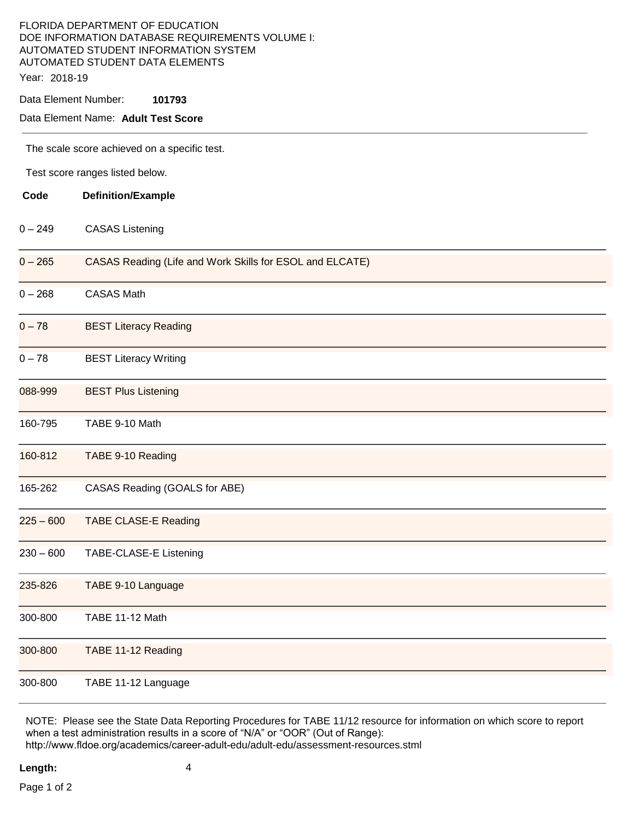# FLORIDA DEPARTMENT OF EDUCATION DOE INFORMATION DATABASE REQUIREMENTS VOLUME I: AUTOMATED STUDENT INFORMATION SYSTEM AUTOMATED STUDENT DATA ELEMENTS

Year: 2018-19

Data Element Number: **101793** 

## Data Element Name: **Adult Test Score**

The scale score achieved on a specific test.

Test score ranges listed below.

| Code        | <b>Definition/Example</b>                                |
|-------------|----------------------------------------------------------|
| $0 - 249$   | <b>CASAS Listening</b>                                   |
| $0 - 265$   | CASAS Reading (Life and Work Skills for ESOL and ELCATE) |
| $0 - 268$   | <b>CASAS Math</b>                                        |
| $0 - 78$    | <b>BEST Literacy Reading</b>                             |
| $0 - 78$    | <b>BEST Literacy Writing</b>                             |
| 088-999     | <b>BEST Plus Listening</b>                               |
| 160-795     | TABE 9-10 Math                                           |
| 160-812     | TABE 9-10 Reading                                        |
| 165-262     | CASAS Reading (GOALS for ABE)                            |
| $225 - 600$ | <b>TABE CLASE-E Reading</b>                              |
| $230 - 600$ | TABE-CLASE-E Listening                                   |
| 235-826     | TABE 9-10 Language                                       |
| 300-800     | TABE 11-12 Math                                          |
| 300-800     | TABE 11-12 Reading                                       |
| 300-800     | TABE 11-12 Language                                      |

NOTE: Please see the State Data Reporting Procedures for TABE 11/12 resource for information on which score to report when a test administration results in a score of "N/A" or "OOR" (Out of Range): http://www.fldoe.org/academics/career-adult-edu/adult-edu/assessment-resources.stml

**Length:** 4